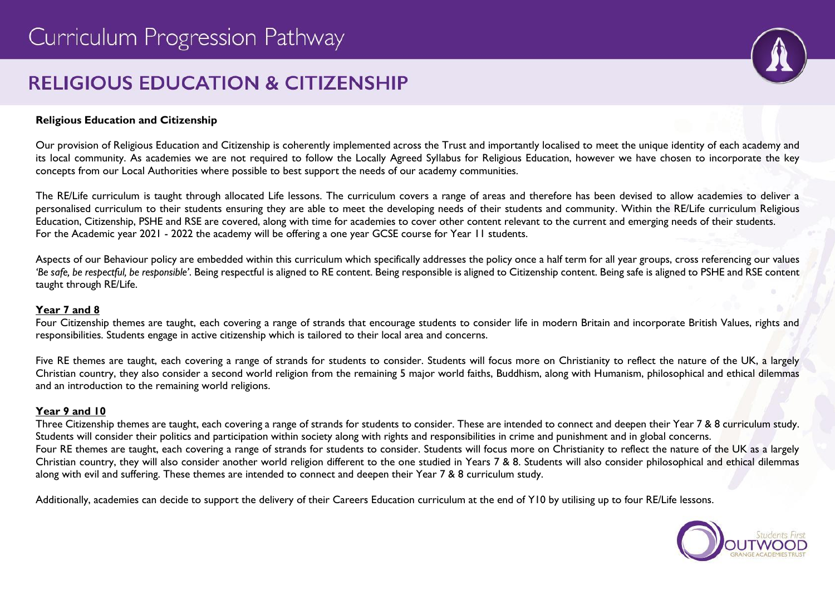# **RELIGIOUS EDUCATION & CITIZENSHIP**



#### **Religious Education and Citizenship**

Our provision of Religious Education and Citizenship is coherently implemented across the Trust and importantly localised to meet the unique identity of each academy and its local community. As academies we are not required to follow the Locally Agreed Syllabus for Religious Education, however we have chosen to incorporate the key concepts from our Local Authorities where possible to best support the needs of our academy communities.

The RE/Life curriculum is taught through allocated Life lessons. The curriculum covers a range of areas and therefore has been devised to allow academies to deliver a personalised curriculum to their students ensuring they are able to meet the developing needs of their students and community. Within the RE/Life curriculum Religious Education, Citizenship, PSHE and RSE are covered, along with time for academies to cover other content relevant to the current and emerging needs of their students. For the Academic year 2021 - 2022 the academy will be offering a one year GCSE course for Year 11 students.

Aspects of our Behaviour policy are embedded within this curriculum which specifically addresses the policy once a half term for all year groups, cross referencing our values *'Be safe, be respectful, be responsible'*. Being respectful is aligned to RE content. Being responsible is aligned to Citizenship content. Being safe is aligned to PSHE and RSE content taught through RE/Life.

#### **Year 7 and 8**

Four Citizenship themes are taught, each covering a range of strands that encourage students to consider life in modern Britain and incorporate British Values, rights and responsibilities. Students engage in active citizenship which is tailored to their local area and concerns.

Five RE themes are taught, each covering a range of strands for students to consider. Students will focus more on Christianity to reflect the nature of the UK, a largely Christian country, they also consider a second world religion from the remaining 5 major world faiths, Buddhism, along with Humanism, philosophical and ethical dilemmas and an introduction to the remaining world religions.

#### **Year 9 and 10**

Three Citizenship themes are taught, each covering a range of strands for students to consider. These are intended to connect and deepen their Year 7 & 8 curriculum study. Students will consider their politics and participation within society along with rights and responsibilities in crime and punishment and in global concerns. Four RE themes are taught, each covering a range of strands for students to consider. Students will focus more on Christianity to reflect the nature of the UK as a largely Christian country, they will also consider another world religion different to the one studied in Years 7 & 8. Students will also consider philosophical and ethical dilemmas along with evil and suffering. These themes are intended to connect and deepen their Year 7 & 8 curriculum study.

Additionally, academies can decide to support the delivery of their Careers Education curriculum at the end of Y10 by utilising up to four RE/Life lessons.

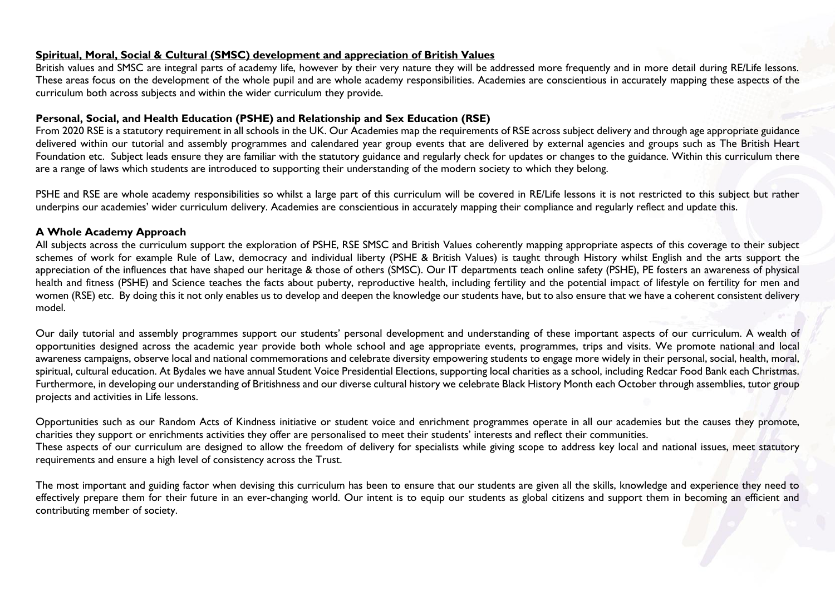#### **Spiritual, Moral, Social & Cultural (SMSC) development and appreciation of British Values**

British values and SMSC are integral parts of academy life, however by their very nature they will be addressed more frequently and in more detail during RE/Life lessons. These areas focus on the development of the whole pupil and are whole academy responsibilities. Academies are conscientious in accurately mapping these aspects of the curriculum both across subjects and within the wider curriculum they provide.

#### **Personal, Social, and Health Education (PSHE) and Relationship and Sex Education (RSE)**

From 2020 RSE is a statutory requirement in all schools in the UK. Our Academies map the requirements of RSE across subject delivery and through age appropriate guidance delivered within our tutorial and assembly programmes and calendared year group events that are delivered by external agencies and groups such as The British Heart Foundation etc. Subject leads ensure they are familiar with the statutory guidance and regularly check for updates or changes to the guidance. Within this curriculum there are a range of laws which students are introduced to supporting their understanding of the modern society to which they belong.

PSHE and RSE are whole academy responsibilities so whilst a large part of this curriculum will be covered in RE/Life lessons it is not restricted to this subject but rather underpins our academies' wider curriculum delivery. Academies are conscientious in accurately mapping their compliance and regularly reflect and update this.

#### **A Whole Academy Approach**

All subjects across the curriculum support the exploration of PSHE, RSE SMSC and British Values coherently mapping appropriate aspects of this coverage to their subject schemes of work for example Rule of Law, democracy and individual liberty (PSHE & British Values) is taught through History whilst English and the arts support the appreciation of the influences that have shaped our heritage & those of others (SMSC). Our IT departments teach online safety (PSHE), PE fosters an awareness of physical health and fitness (PSHE) and Science teaches the facts about puberty, reproductive health, including fertility and the potential impact of lifestyle on fertility for men and women (RSE) etc. By doing this it not only enables us to develop and deepen the knowledge our students have, but to also ensure that we have a coherent consistent delivery model.

Our daily tutorial and assembly programmes support our students' personal development and understanding of these important aspects of our curriculum. A wealth of opportunities designed across the academic year provide both whole school and age appropriate events, programmes, trips and visits. We promote national and local awareness campaigns, observe local and national commemorations and celebrate diversity empowering students to engage more widely in their personal, social, health, moral, spiritual, cultural education. At Bydales we have annual Student Voice Presidential Elections, supporting local charities as a school, including Redcar Food Bank each Christmas. Furthermore, in developing our understanding of Britishness and our diverse cultural history we celebrate Black History Month each October through assemblies, tutor group projects and activities in Life lessons.

Opportunities such as our Random Acts of Kindness initiative or student voice and enrichment programmes operate in all our academies but the causes they promote, charities they support or enrichments activities they offer are personalised to meet their students' interests and reflect their communities. These aspects of our curriculum are designed to allow the freedom of delivery for specialists while giving scope to address key local and national issues, meet statutory requirements and ensure a high level of consistency across the Trust.

The most important and guiding factor when devising this curriculum has been to ensure that our students are given all the skills, knowledge and experience they need to effectively prepare them for their future in an ever-changing world. Our intent is to equip our students as global citizens and support them in becoming an efficient and contributing member of society.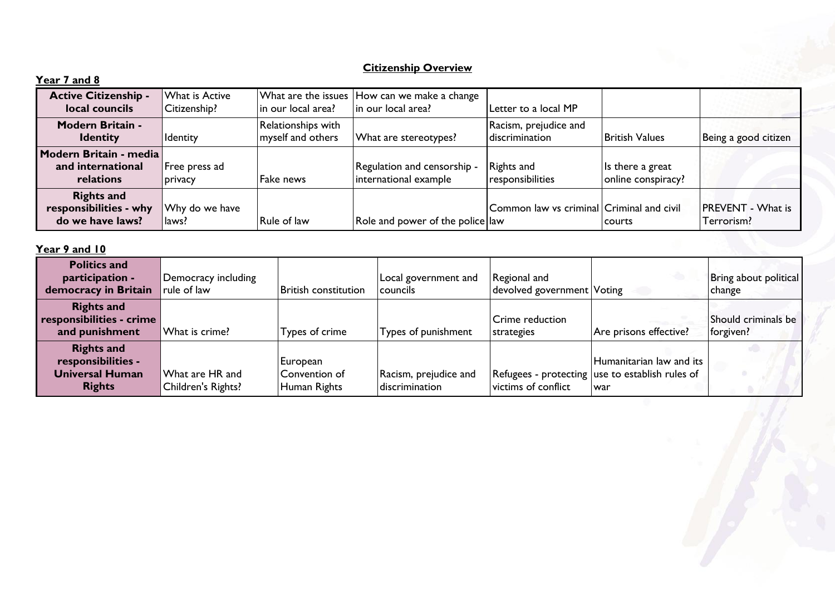## **Citizenship Overview**

| Year 7 and 8                                                    |                                |                                         |                                                                    |                                           |                                        |                                        |
|-----------------------------------------------------------------|--------------------------------|-----------------------------------------|--------------------------------------------------------------------|-------------------------------------------|----------------------------------------|----------------------------------------|
| <b>Active Citizenship -</b><br>local councils                   | What is Active<br>Citizenship? | in our local area?                      | What are the issues How can we make a change<br>in our local area? | Letter to a local MP                      |                                        |                                        |
| <b>Modern Britain -</b><br><b>Identity</b>                      | <b>Identity</b>                | Relationships with<br>myself and others | What are stereotypes?                                              | Racism, prejudice and<br>discrimination   | <b>British Values</b>                  | Being a good citizen                   |
| Modern Britain - media<br>and international<br>relations        | Free press ad<br>privacy       | <b>Fake news</b>                        | Regulation and censorship -<br>international example               | Rights and<br>responsibilities            | Is there a great<br>online conspiracy? |                                        |
| <b>Rights and</b><br>responsibilities - why<br>do we have laws? | Why do we have<br>laws?        | <b>Rule of law</b>                      | Role and power of the police law                                   | Common law vs criminal Criminal and civil | <b>Courts</b>                          | <b>PREVENT - What is</b><br>Terrorism? |

# **Year 9 and 10**

| <b>Politics and</b><br>participation -<br>democracy in Britain                     | Democracy including<br>rule of law    | <b>British constitution</b>               | Local government and<br><b>Councils</b> | Regional and<br>devolved government Voting |                                                                                    | Bring about political<br>change  |
|------------------------------------------------------------------------------------|---------------------------------------|-------------------------------------------|-----------------------------------------|--------------------------------------------|------------------------------------------------------------------------------------|----------------------------------|
| <b>Rights and</b><br>responsibilities - crime<br>and punishment                    | What is crime?                        | Types of crime                            | Types of punishment                     | Crime reduction<br>strategies              | Are prisons effective?                                                             | Should criminals be<br>forgiven? |
| <b>Rights and</b><br>responsibilities -<br><b>Universal Human</b><br><b>Rights</b> | What are HR and<br>Children's Rights? | European<br>Convention of<br>Human Rights | Racism, prejudice and<br>discrimination | victims of conflict                        | Humanitarian law and its<br>Refugees - protecting use to establish rules of<br>war |                                  |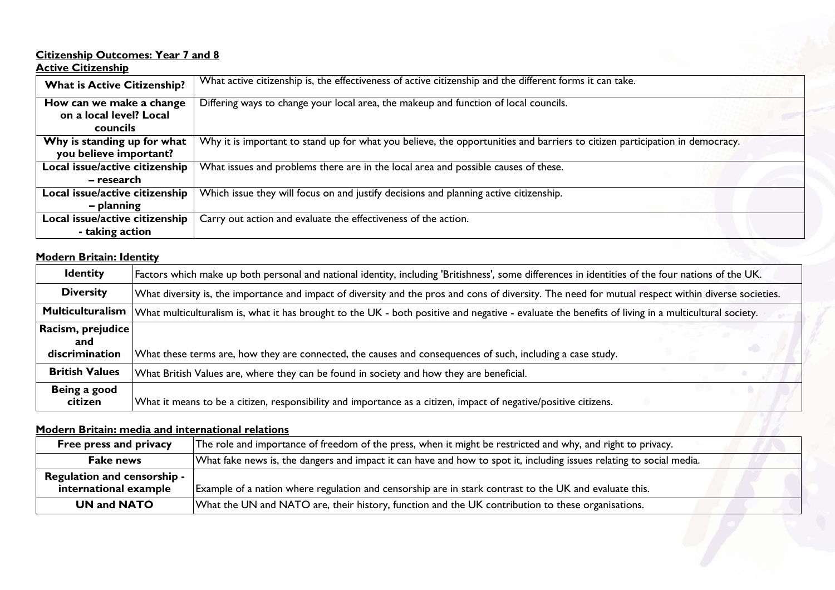#### **Citizenship Outcomes: Year 7 and 8**

#### **Active Citizenship**

| <b>What is Active Citizenship?</b> | What active citizenship is, the effectiveness of active citizenship and the different forms it can take.                    |
|------------------------------------|-----------------------------------------------------------------------------------------------------------------------------|
| How can we make a change           | Differing ways to change your local area, the makeup and function of local councils.                                        |
| on a local level? Local            |                                                                                                                             |
| councils                           |                                                                                                                             |
| Why is standing up for what        | Why it is important to stand up for what you believe, the opportunities and barriers to citizen participation in democracy. |
| you believe important?             |                                                                                                                             |
| Local issue/active citizenship     | What issues and problems there are in the local area and possible causes of these.                                          |
| – research                         |                                                                                                                             |
| Local issue/active citizenship     | Which issue they will focus on and justify decisions and planning active citizenship.                                       |
| - planning                         |                                                                                                                             |
| Local issue/active citizenship     | Carry out action and evaluate the effectiveness of the action.                                                              |
| - taking action                    |                                                                                                                             |

## **Modern Britain: Identity**

| <b>Identity</b>                            | Factors which make up both personal and national identity, including 'Britishness', some differences in identities of the four nations of the UK.   |  |  |  |  |  |  |  |
|--------------------------------------------|-----------------------------------------------------------------------------------------------------------------------------------------------------|--|--|--|--|--|--|--|
| <b>Diversity</b>                           | What diversity is, the importance and impact of diversity and the pros and cons of diversity. The need for mutual respect within diverse societies. |  |  |  |  |  |  |  |
| <b>Multiculturalism</b>                    | What multiculturalism is, what it has brought to the UK - both positive and negative - evaluate the benefits of living in a multicultural society.  |  |  |  |  |  |  |  |
| Racism, prejudice<br>and<br>discrimination | What these terms are, how they are connected, the causes and consequences of such, including a case study.                                          |  |  |  |  |  |  |  |
| <b>British Values</b>                      | What British Values are, where they can be found in society and how they are beneficial.                                                            |  |  |  |  |  |  |  |
| Being a good<br>citizen                    | What it means to be a citizen, responsibility and importance as a citizen, impact of negative/positive citizens.                                    |  |  |  |  |  |  |  |

## **Modern Britain: media and international relations**

| Modern Britain: media and international relations           |                                                                                                                      |
|-------------------------------------------------------------|----------------------------------------------------------------------------------------------------------------------|
| Free press and privacy                                      | The role and importance of freedom of the press, when it might be restricted and why, and right to privacy.          |
| <b>Fake news</b>                                            | What fake news is, the dangers and impact it can have and how to spot it, including issues relating to social media. |
| <b>Regulation and censorship -</b><br>international example | Example of a nation where regulation and censorship are in stark contrast to the UK and evaluate this.               |
| <b>UN and NATO</b>                                          | What the UN and NATO are, their history, function and the UK contribution to these organisations.                    |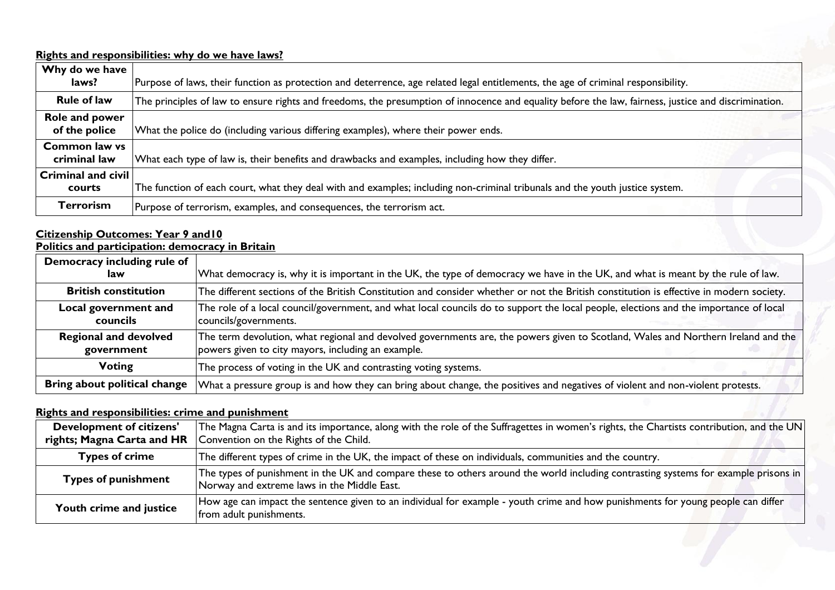## **Rights and responsibilities: why do we have laws?**

| Why do we have<br>laws?                    | Purpose of laws, their function as protection and deterrence, age related legal entitlements, the age of criminal responsibility.                    |
|--------------------------------------------|------------------------------------------------------------------------------------------------------------------------------------------------------|
| <b>Rule of law</b>                         | The principles of law to ensure rights and freedoms, the presumption of innocence and equality before the law, fairness, justice and discrimination. |
| Role and power<br>of the police            | What the police do (including various differing examples), where their power ends.                                                                   |
| <b>Common law vs</b><br>criminal law       | What each type of law is, their benefits and drawbacks and examples, including how they differ.                                                      |
| $\mid$ Criminal and civil $\mid$<br>courts | The function of each court, what they deal with and examples; including non-criminal tribunals and the youth justice system.                         |
| <b>Terrorism</b>                           | Purpose of terrorism, examples, and consequences, the terrorism act.                                                                                 |

#### **Citizenship Outcomes: Year 9 and10**

**Politics and participation: democracy in Britain**

| Democracy including rule of                |                                                                                                                                                                                         |
|--------------------------------------------|-----------------------------------------------------------------------------------------------------------------------------------------------------------------------------------------|
| law                                        | What democracy is, why it is important in the UK, the type of democracy we have in the UK, and what is meant by the rule of law.                                                        |
| <b>British constitution</b>                | The different sections of the British Constitution and consider whether or not the British constitution is effective in modern society.                                                 |
| Local government and<br>councils           | The role of a local council/government, and what local councils do to support the local people, elections and the importance of local<br>councils/governments.                          |
| <b>Regional and devolved</b><br>government | The term devolution, what regional and devolved governments are, the powers given to Scotland, Wales and Northern Ireland and the<br>powers given to city mayors, including an example. |
| <b>Voting</b>                              | The process of voting in the UK and contrasting voting systems.                                                                                                                         |
| Bring about political change               | What a pressure group is and how they can bring about change, the positives and negatives of violent and non-violent protests.                                                          |

## **Rights and responsibilities: crime and punishment**

| Rights and responsibilities: crime and punishment             |                                                                                                                                                                                    |
|---------------------------------------------------------------|------------------------------------------------------------------------------------------------------------------------------------------------------------------------------------|
| <b>Development of citizens'</b><br>rights; Magna Carta and HR | The Magna Carta is and its importance, along with the role of the Suffragettes in women's rights, the Chartists contribution, and the UN<br>Convention on the Rights of the Child. |
| <b>Types of crime</b>                                         | The different types of crime in the UK, the impact of these on individuals, communities and the country.                                                                           |
| <b>Types of punishment</b>                                    | The types of punishment in the UK and compare these to others around the world including contrasting systems for example prisons in<br>Norway and extreme laws in the Middle East. |
| Youth crime and justice                                       | How age can impact the sentence given to an individual for example - youth crime and how punishments for young people can differ<br>from adult punishments.                        |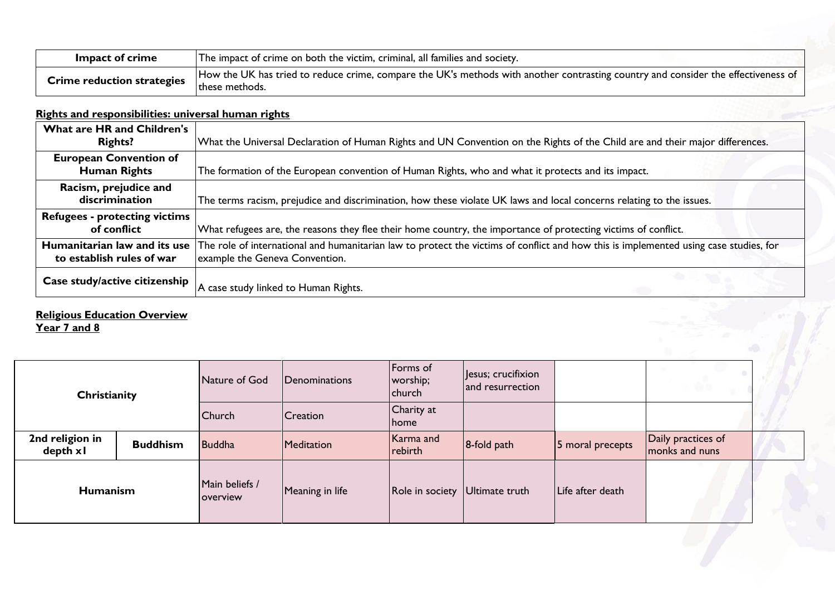| Impact of crime                   | The impact of crime on both the victim, criminal, all families and society.                                                                         |
|-----------------------------------|-----------------------------------------------------------------------------------------------------------------------------------------------------|
| <b>Crime reduction strategies</b> | How the UK has tried to reduce crime, compare the UK's methods with another contrasting country and consider the effectiveness of<br>these methods. |

# **Rights and responsibilities: universal human rights**

| What are HR and Children's<br><b>Rights?</b>              | What the Universal Declaration of Human Rights and UN Convention on the Rights of the Child are and their major differences.                                            |
|-----------------------------------------------------------|-------------------------------------------------------------------------------------------------------------------------------------------------------------------------|
| <b>European Convention of</b><br><b>Human Rights</b>      | The formation of the European convention of Human Rights, who and what it protects and its impact.                                                                      |
| Racism, prejudice and<br>discrimination                   | The terms racism, prejudice and discrimination, how these violate UK laws and local concerns relating to the issues.                                                    |
| <b>Refugees - protecting victims</b><br>of conflict       | What refugees are, the reasons they flee their home country, the importance of protecting victims of conflict.                                                          |
| Humanitarian law and its use<br>to establish rules of war | The role of international and humanitarian law to protect the victims of conflict and how this is implemented using case studies, for<br>example the Geneva Convention. |
| Case study/active citizenship                             | A case study linked to Human Rights.                                                                                                                                    |

#### **Religious Education Overview Year 7 and 8**

| Christianity                 |                 | Nature of God              | Denominations   | Forms of<br>worship;<br>church | Jesus; crucifixion<br>and resurrection |                  |                                      |  |
|------------------------------|-----------------|----------------------------|-----------------|--------------------------------|----------------------------------------|------------------|--------------------------------------|--|
|                              |                 | <b>Church</b>              | <b>Creation</b> | Charity at<br><b>Ihome</b>     |                                        |                  |                                      |  |
| 2nd religion in<br>depth x l | <b>Buddhism</b> | Buddha                     | Meditation      | Karma and<br>rebirth           | $8$ -fold path                         | 5 moral precepts | Daily practices of<br>monks and nuns |  |
| <b>Humanism</b>              |                 | Main beliefs /<br>overview | Meaning in life | Role in society Ultimate truth |                                        | Life after death |                                      |  |
|                              |                 |                            |                 |                                |                                        |                  |                                      |  |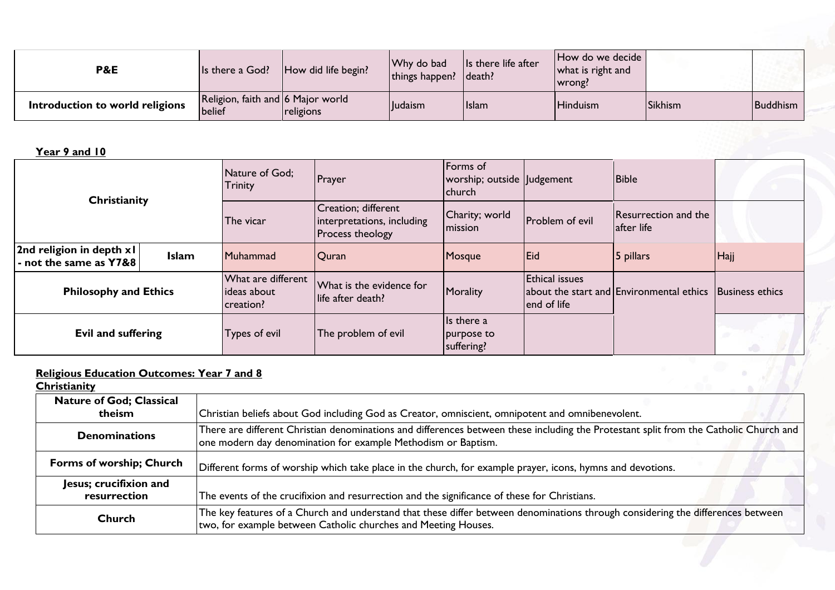| <b>P&amp;E</b>                  | Is there a God?                             | How did life begin? | Why do bad<br>things happen? | Is there life after<br>death? | How do we decide<br>what is right and<br>wrong! |         |          |
|---------------------------------|---------------------------------------------|---------------------|------------------------------|-------------------------------|-------------------------------------------------|---------|----------|
| Introduction to world religions | Religion, faith and 6 Major world<br>belief | religions           | <b>Iludaism</b>              | Islam                         | Hinduism                                        | Sikhism | Buddhism |

**Year 9 and 10**

| Christianity                                        |              | Nature of God;<br><b>Trinity</b>                | Prayer                                                                       | Forms of<br>worship; outside   Judgement<br>church |                                      | <b>Bible</b>                                               |      |
|-----------------------------------------------------|--------------|-------------------------------------------------|------------------------------------------------------------------------------|----------------------------------------------------|--------------------------------------|------------------------------------------------------------|------|
|                                                     |              | The vicar                                       | Creation; different<br>interpretations, including<br><b>Process theology</b> | Charity; world<br><b>Imission</b>                  | <b>Problem of evil</b>               | Resurrection and the<br>lafter life                        |      |
| 2nd religion in depth x l<br>- not the same as Y7&8 | <b>Islam</b> | Muhammad                                        | <b>Quran</b>                                                                 | Mosque                                             | Eid                                  | 5 pillars                                                  | Hajj |
| <b>Philosophy and Ethics</b>                        |              | What are different<br>lideas about<br>creation? | What is the evidence for<br>life after death?                                | Morality                                           | <b>Ethical issues</b><br>end of life | about the start and Environmental ethics   Business ethics |      |
| <b>Evil and suffering</b>                           |              | Types of evil                                   | The problem of evil                                                          | Is there a<br>purpose to<br>suffering?             |                                      |                                                            |      |

# **Religious Education Outcomes: Year 7 and 8**

| <b>Religious Education Outcomes: Year 7 and 8</b><br>Christianity |                                                                                                                                                                                                        |
|-------------------------------------------------------------------|--------------------------------------------------------------------------------------------------------------------------------------------------------------------------------------------------------|
| <b>Nature of God; Classical</b><br>theism                         | Christian beliefs about God including God as Creator, omniscient, omnipotent and omnibenevolent.                                                                                                       |
|                                                                   |                                                                                                                                                                                                        |
| <b>Denominations</b>                                              | There are different Christian denominations and differences between these including the Protestant split from the Catholic Church and<br>one modern day denomination for example Methodism or Baptism. |
| Forms of worship; Church                                          | Different forms of worship which take place in the church, for example prayer, icons, hymns and devotions.                                                                                             |
| Jesus; crucifixion and<br>resurrection                            | The events of the crucifixion and resurrection and the significance of these for Christians.                                                                                                           |
| <b>Church</b>                                                     | The key features of a Church and understand that these differ between denominations through considering the differences between<br>two, for example between Catholic churches and Meeting Houses.      |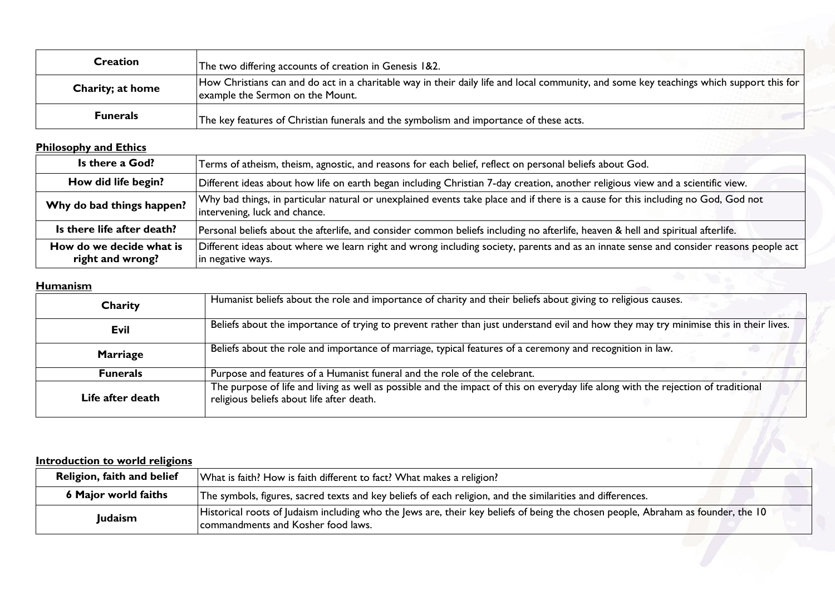| <b>Creation</b>  | The two differing accounts of creation in Genesis 1&2.                                                                                                                       |
|------------------|------------------------------------------------------------------------------------------------------------------------------------------------------------------------------|
| Charity; at home | How Christians can and do act in a charitable way in their daily life and local community, and some key teachings which support this for<br>example the Sermon on the Mount. |
| <b>Funerals</b>  | The key features of Christian funerals and the symbolism and importance of these acts.                                                                                       |

# **Philosophy and Ethics**

| Is there a God?                              | Terms of atheism, theism, agnostic, and reasons for each belief, reflect on personal beliefs about God.                                                            |
|----------------------------------------------|--------------------------------------------------------------------------------------------------------------------------------------------------------------------|
| How did life begin?                          | Different ideas about how life on earth began including Christian 7-day creation, another religious view and a scientific view.                                    |
| Why do bad things happen?                    | Why bad things, in particular natural or unexplained events take place and if there is a cause for this including no God, God not<br>intervening, luck and chance. |
| Is there life after death?                   | Personal beliefs about the afterlife, and consider common beliefs including no afterlife, heaven & hell and spiritual afterlife.                                   |
| How do we decide what is<br>right and wrong? | Different ideas about where we learn right and wrong including society, parents and as an innate sense and consider reasons people act<br>in negative ways.        |

# **Humanism**

| Charity          | Humanist beliefs about the role and importance of charity and their beliefs about giving to religious causes.                                                                   |
|------------------|---------------------------------------------------------------------------------------------------------------------------------------------------------------------------------|
| <b>Evil</b>      | Beliefs about the importance of trying to prevent rather than just understand evil and how they may try minimise this in their lives.                                           |
| <b>Marriage</b>  | Beliefs about the role and importance of marriage, typical features of a ceremony and recognition in law.                                                                       |
| <b>Funerals</b>  | Purpose and features of a Humanist funeral and the role of the celebrant.                                                                                                       |
| Life after death | The purpose of life and living as well as possible and the impact of this on everyday life along with the rejection of traditional<br>religious beliefs about life after death. |

### **Introduction to world religions**

| Religion, faith and belief  | What is faith? How is faith different to fact? What makes a religion?                                                                                                  |
|-----------------------------|------------------------------------------------------------------------------------------------------------------------------------------------------------------------|
| <b>6 Major world faiths</b> | The symbols, figures, sacred texts and key beliefs of each religion, and the similarities and differences.                                                             |
| Judaism                     | Historical roots of Judaism including who the Jews are, their key beliefs of being the chosen people, Abraham as founder, the 10<br>commandments and Kosher food laws. |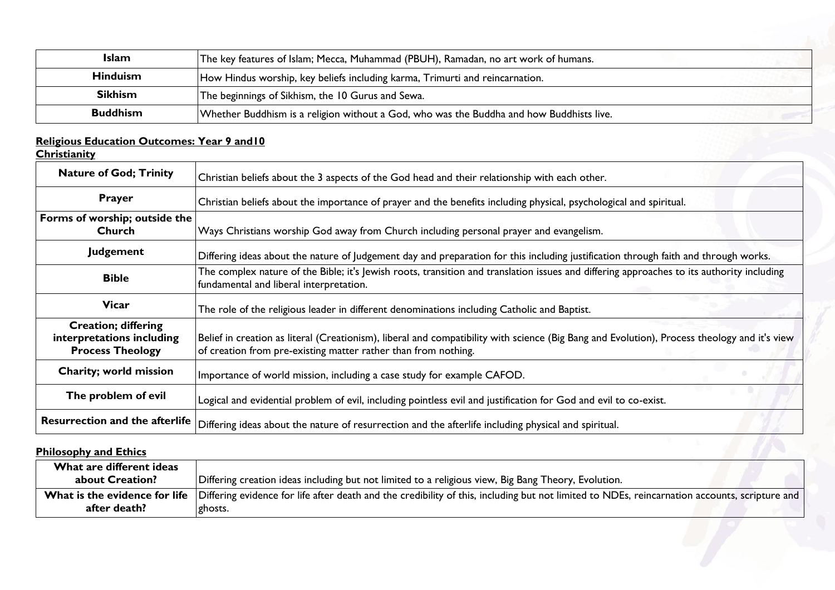| <b>Islam</b>    | The key features of Islam; Mecca, Muhammad (PBUH), Ramadan, no art work of humans.       |
|-----------------|------------------------------------------------------------------------------------------|
| <b>Hinduism</b> | How Hindus worship, key beliefs including karma, Trimurti and reincarnation.             |
| <b>Sikhism</b>  | The beginnings of Sikhism, the 10 Gurus and Sewa.                                        |
| <b>Buddhism</b> | Whether Buddhism is a religion without a God, who was the Buddha and how Buddhists live. |

# **Religious Education Outcomes: Year 9 and10**

**Christianity**

| <b>Nature of God; Trinity</b>                                                      | Christian beliefs about the 3 aspects of the God head and their relationship with each other.                                                                                                                  |
|------------------------------------------------------------------------------------|----------------------------------------------------------------------------------------------------------------------------------------------------------------------------------------------------------------|
| <b>Prayer</b>                                                                      | Christian beliefs about the importance of prayer and the benefits including physical, psychological and spiritual.                                                                                             |
| Forms of worship; outside the<br><b>Church</b>                                     | Ways Christians worship God away from Church including personal prayer and evangelism.                                                                                                                         |
| <b>Judgement</b>                                                                   | Differing ideas about the nature of Judgement day and preparation for this including justification through faith and through works.                                                                            |
| <b>Bible</b>                                                                       | The complex nature of the Bible; it's Jewish roots, transition and translation issues and differing approaches to its authority including<br>fundamental and liberal interpretation.                           |
| <b>Vicar</b>                                                                       | The role of the religious leader in different denominations including Catholic and Baptist.                                                                                                                    |
| <b>Creation; differing</b><br>interpretations including<br><b>Process Theology</b> | Belief in creation as literal (Creationism), liberal and compatibility with science (Big Bang and Evolution), Process theology and it's view<br>of creation from pre-existing matter rather than from nothing. |
| Charity; world mission                                                             | Importance of world mission, including a case study for example CAFOD.                                                                                                                                         |
| The problem of evil                                                                | Logical and evidential problem of evil, including pointless evil and justification for God and evil to co-exist.                                                                                               |
| <b>Resurrection and the afterlife</b>                                              | Differing ideas about the nature of resurrection and the afterlife including physical and spiritual.                                                                                                           |
| <b>Philosophy and Ethics</b>                                                       |                                                                                                                                                                                                                |

# **Philosophy and Ethics**

| What are different ideas<br><b>about Creation?</b> | Differing creation ideas including but not limited to a religious view, Big Bang Theory, Evolution.                                                                                     |
|----------------------------------------------------|-----------------------------------------------------------------------------------------------------------------------------------------------------------------------------------------|
| after death?                                       | What is the evidence for life Differing evidence for life after death and the credibility of this, including but not limited to NDEs, reincarnation accounts, scripture and<br>Ighosts. |